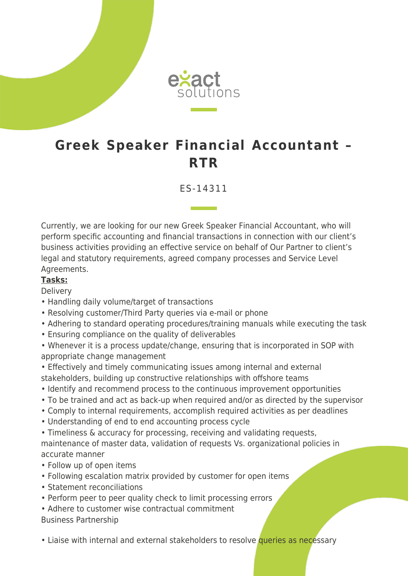

## **Greek Speaker Financial Accountant – RTR**

ES-14311

Currently, we are looking for our new Greek Speaker Financial Accountant, who will perform specific accounting and financial transactions in connection with our client's business activities providing an effective service on behalf of Our Partner to client's legal and statutory requirements, agreed company processes and Service Level Agreements.

## **Tasks:**

**Delivery** 

- Handling daily volume/target of transactions
- Resolving customer/Third Party queries via e-mail or phone
- Adhering to standard operating procedures/training manuals while executing the task
- Ensuring compliance on the quality of deliverables
- Whenever it is a process update/change, ensuring that is incorporated in SOP with appropriate change management
- Effectively and timely communicating issues among internal and external stakeholders, building up constructive relationships with offshore teams
- Identify and recommend process to the continuous improvement opportunities
- To be trained and act as back-up when required and/or as directed by the supervisor
- Comply to internal requirements, accomplish required activities as per deadlines
- Understanding of end to end accounting process cycle
- Timeliness & accuracy for processing, receiving and validating requests,

maintenance of master data, validation of requests Vs. organizational policies in accurate manner

- Follow up of open items
- Following escalation matrix provided by customer for open items
- Statement reconciliations
- Perform peer to peer quality check to limit processing errors
- Adhere to customer wise contractual commitment Business Partnership
- Liaise with internal and external stakeholders to resolve queries as necessary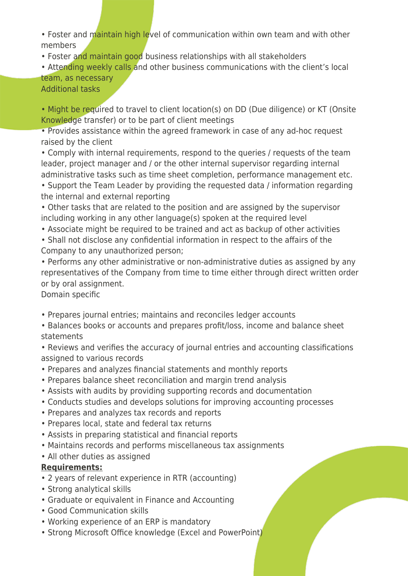• Foster and maintain high level of communication within own team and with other members

• Foster and maintain good business relationships with all stakeholders

• Attending weekly calls and other business communications with the client's local team, as necessary

Additional tasks

• Might be required to travel to client location(s) on DD (Due diligence) or KT (Onsite Knowledge transfer) or to be part of client meetings

• Provides assistance within the agreed framework in case of any ad-hoc request raised by the client

• Comply with internal requirements, respond to the queries / requests of the team leader, project manager and / or the other internal supervisor regarding internal administrative tasks such as time sheet completion, performance management etc.

• Support the Team Leader by providing the requested data / information regarding the internal and external reporting

• Other tasks that are related to the position and are assigned by the supervisor including working in any other language(s) spoken at the required level

• Associate might be required to be trained and act as backup of other activities

• Shall not disclose any confidential information in respect to the affairs of the Company to any unauthorized person;

• Performs any other administrative or non-administrative duties as assigned by any representatives of the Company from time to time either through direct written order or by oral assignment.

Domain specific

• Prepares journal entries; maintains and reconciles ledger accounts

• Balances books or accounts and prepares profit/loss, income and balance sheet statements

• Reviews and verifies the accuracy of journal entries and accounting classifications assigned to various records

- Prepares and analyzes financial statements and monthly reports
- Prepares balance sheet reconciliation and margin trend analysis
- Assists with audits by providing supporting records and documentation
- Conducts studies and develops solutions for improving accounting processes
- Prepares and analyzes tax records and reports
- Prepares local, state and federal tax returns
- Assists in preparing statistical and financial reports
- Maintains records and performs miscellaneous tax assignments
- All other duties as assigned

## **Requirements:**

- 2 years of relevant experience in RTR (accounting)
- Strong analytical skills
- Graduate or equivalent in Finance and Accounting
- Good Communication skills
- Working experience of an ERP is mandatory
- Strong Microsoft Office knowledge (Excel and PowerPoint)